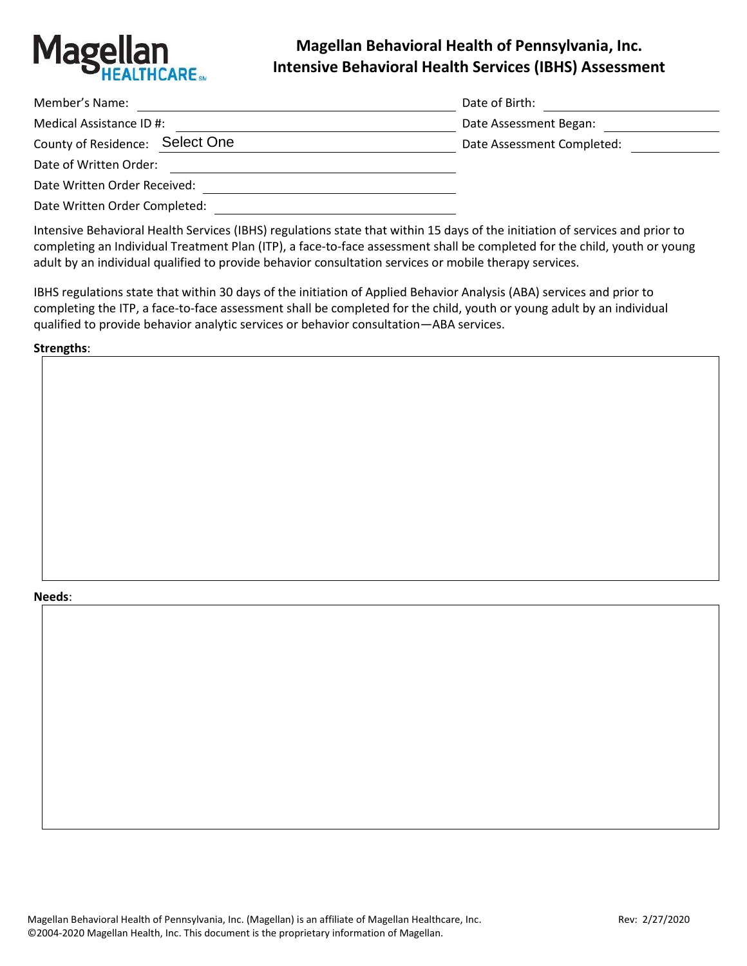

# **Magellan Behavioral Health of Pennsylvania, Inc. Intensive Behavioral Health Services (IBHS) Assessment**

| Member's Name:                  | Date of Birth:             |
|---------------------------------|----------------------------|
| Medical Assistance ID #:        | Date Assessment Began:     |
| County of Residence: Select One | Date Assessment Completed: |
| Date of Written Order:          |                            |
| Date Written Order Received:    |                            |

Date Written Order Completed:

Intensive Behavioral Health Services (IBHS) regulations state that within 15 days of the initiation of services and prior to completing an Individual Treatment Plan (ITP), a face-to-face assessment shall be completed for the child, youth or young adult by an individual qualified to provide behavior consultation services or mobile therapy services.

IBHS regulations state that within 30 days of the initiation of Applied Behavior Analysis (ABA) services and prior to completing the ITP, a face-to-face assessment shall be completed for the child, youth or young adult by an individual qualified to provide behavior analytic services or behavior consultation—ABA services.

**Strengths**:

#### **Needs**: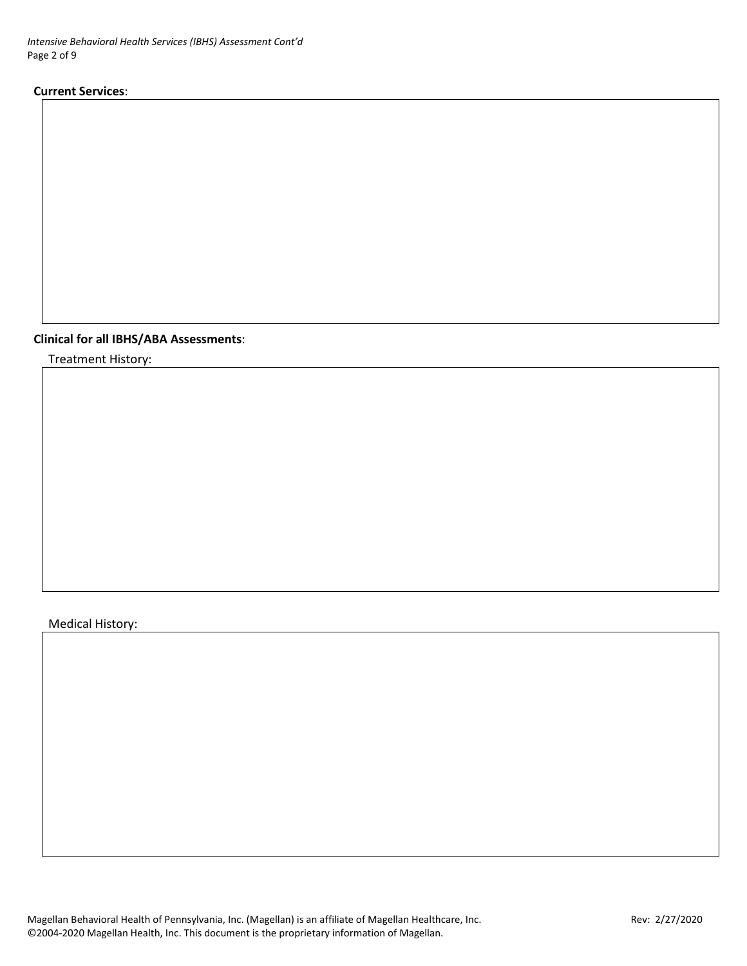*Intensive Behavioral Health Services (IBHS) Assessment Cont'd* Page 2 of 9

#### **Current Services**:

# **Clinical for all IBHS/ABA Assessments**:

Treatment History:

# Medical History:

Magellan Behavioral Health of Pennsylvania, Inc. (Magellan) is an affiliate of Magellan Healthcare, Inc. Most manuscum Rev: 2/27/2020 ©2004-2020 Magellan Health, Inc. This document is the proprietary information of Magellan.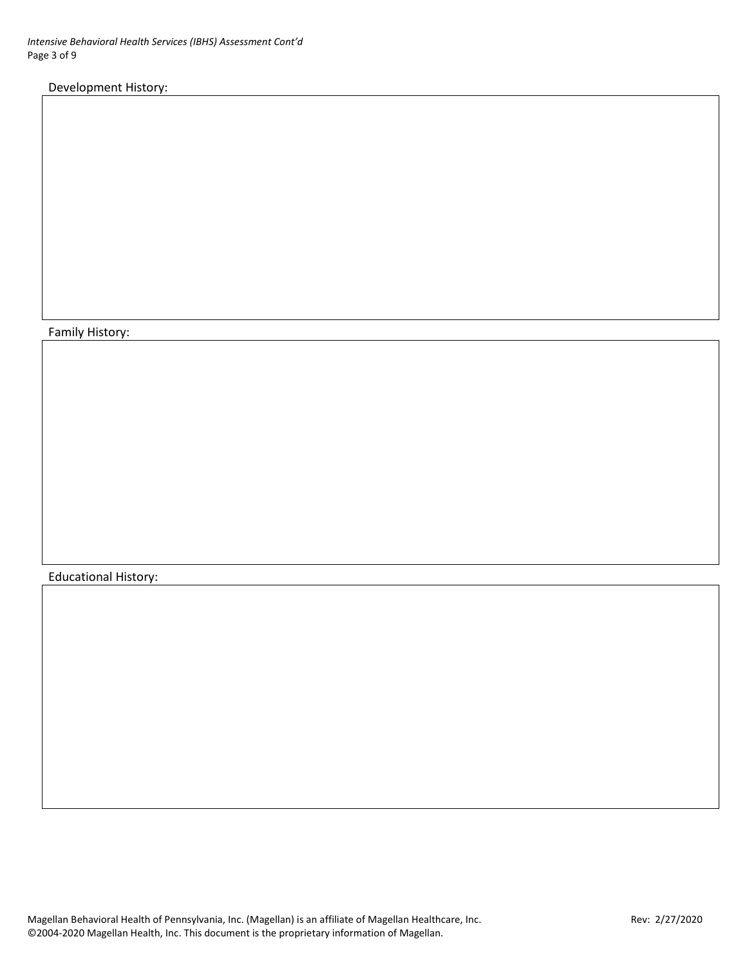# Development History:

### Family History:

## Educational History: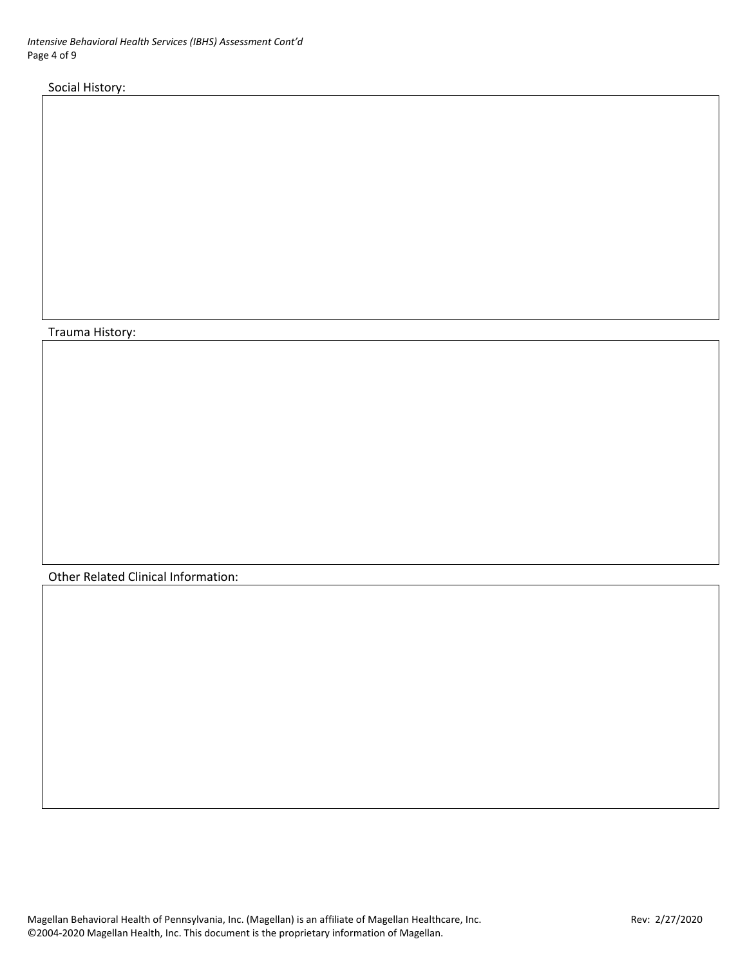*Intensive Behavioral Health Services (IBHS) Assessment Cont'd* Page 4 of 9

Social History:

#### Trauma History:

Other Related Clinical Information: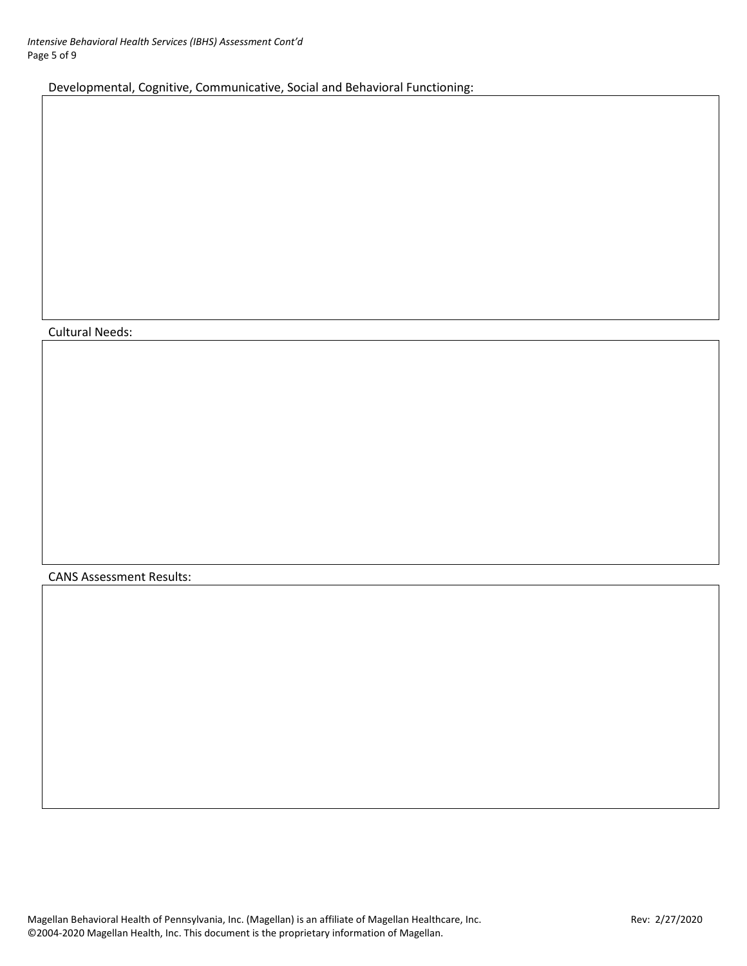Developmental, Cognitive, Communicative, Social and Behavioral Functioning:

## Cultural Needs:

CANS Assessment Results: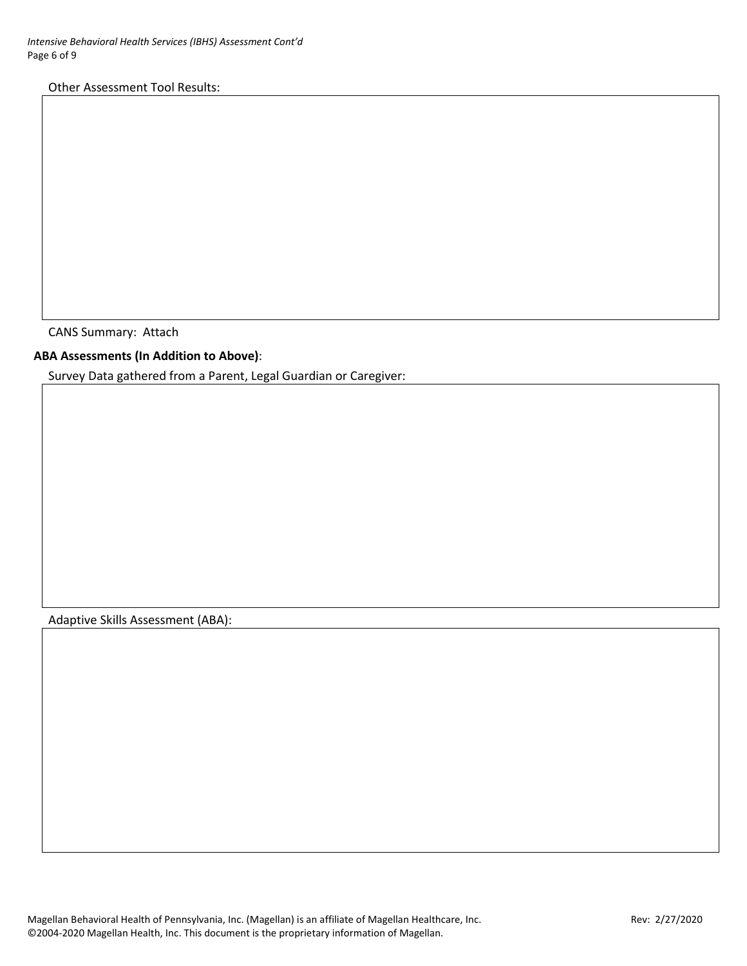Other Assessment Tool Results:

CANS Summary: Attach

**ABA Assessments (In Addition to Above)**:

Survey Data gathered from a Parent, Legal Guardian or Caregiver:

Adaptive Skills Assessment (ABA):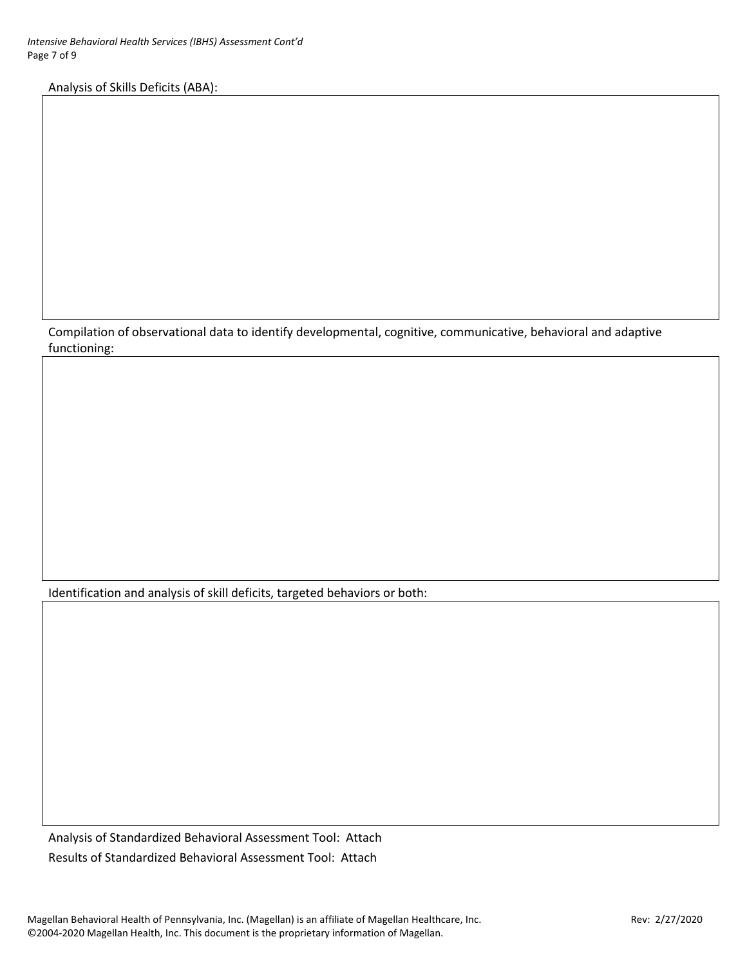Analysis of Skills Deficits (ABA):

Compilation of observational data to identify developmental, cognitive, communicative, behavioral and adaptive functioning:

Identification and analysis of skill deficits, targeted behaviors or both:

Analysis of Standardized Behavioral Assessment Tool: Attach Results of Standardized Behavioral Assessment Tool: Attach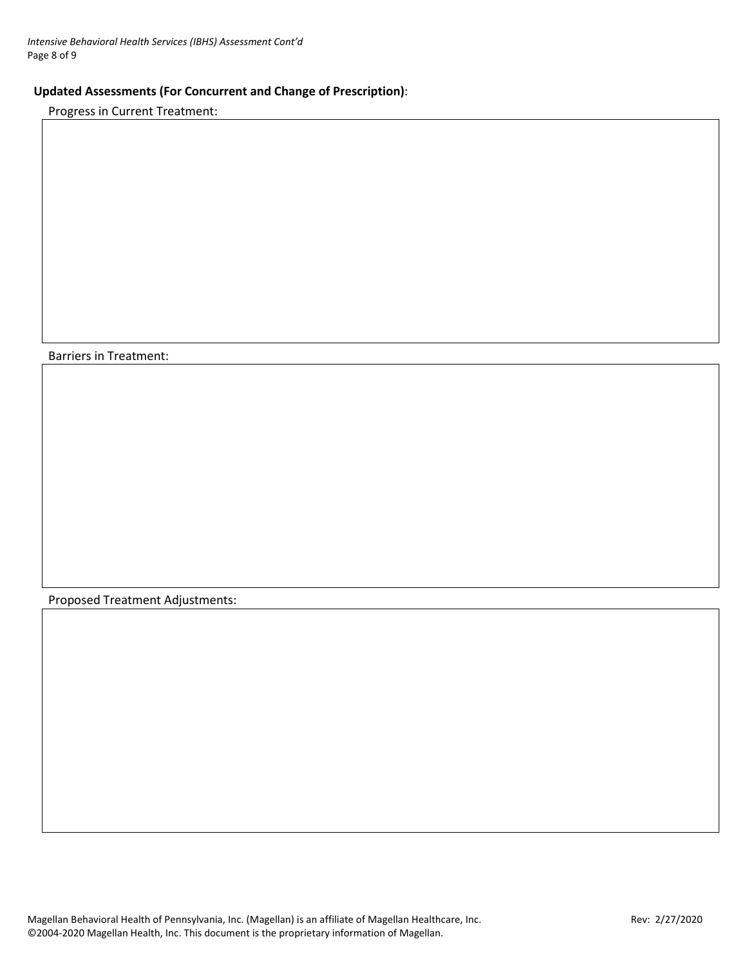# **Updated Assessments (For Concurrent and Change of Prescription)**:

Progress in Current Treatment:

Barriers in Treatment:

Proposed Treatment Adjustments:

Magellan Behavioral Health of Pennsylvania, Inc. (Magellan) is an affiliate of Magellan Healthcare, Inc. Most manuscum Rev: 2/27/2020 ©2004-2020 Magellan Health, Inc. This document is the proprietary information of Magellan.